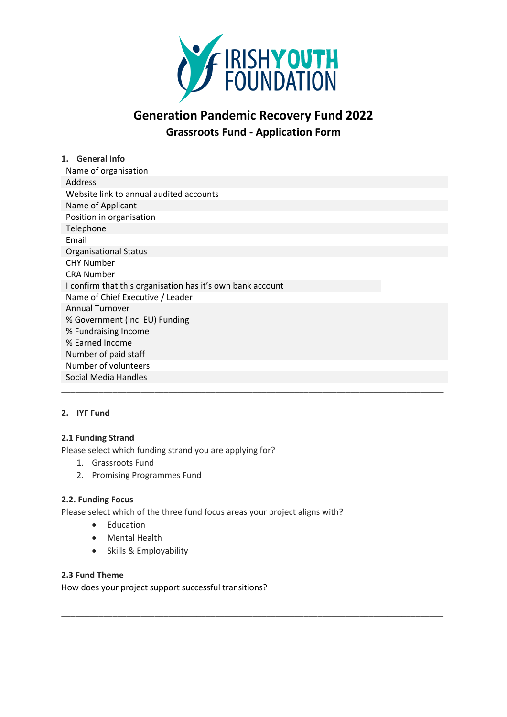

# **Generation Pandemic Recovery Fund 2022 Grassroots Fund - Application Form**

| 1. General Info                                            |
|------------------------------------------------------------|
| Name of organisation                                       |
| Address                                                    |
| Website link to annual audited accounts                    |
| Name of Applicant                                          |
| Position in organisation                                   |
| Telephone                                                  |
| Email                                                      |
| <b>Organisational Status</b>                               |
| <b>CHY Number</b>                                          |
| <b>CRA Number</b>                                          |
| I confirm that this organisation has it's own bank account |
| Name of Chief Executive / Leader                           |
| <b>Annual Turnover</b>                                     |
| % Government (incl EU) Funding                             |
| % Fundraising Income                                       |
| % Earned Income                                            |
| Number of paid staff                                       |
| Number of volunteers                                       |
| Social Media Handles                                       |
|                                                            |

\_\_\_\_\_\_\_\_\_\_\_\_\_\_\_\_\_\_\_\_\_\_\_\_\_\_\_\_\_\_\_\_\_\_\_\_\_\_\_\_\_\_\_\_\_\_\_\_\_\_\_\_\_\_\_\_\_\_\_\_\_\_\_\_\_\_\_\_\_\_\_\_\_\_\_\_\_\_\_\_\_\_

# **2. IYF Fund**

# **2.1 Funding Strand**

Please select which funding strand you are applying for?

- 1. Grassroots Fund
- 2. Promising Programmes Fund

#### **2.2. Funding Focus**

Please select which of the three fund focus areas your project aligns with?

- Education
- Mental Health
- Skills & Employability

# **2.3 Fund Theme**

How does your project support successful transitions?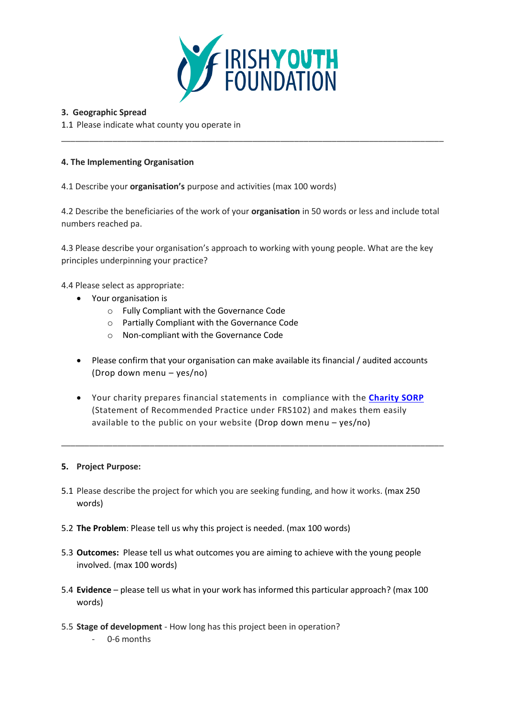

#### **3. Geographic Spread**

1.1 Please indicate what county you operate in

#### **4. The Implementing Organisation**

4.1 Describe your **organisation's** purpose and activities (max 100 words)

4.2 Describe the beneficiaries of the work of your **organisation** in 50 words or less and include total numbers reached pa.

\_\_\_\_\_\_\_\_\_\_\_\_\_\_\_\_\_\_\_\_\_\_\_\_\_\_\_\_\_\_\_\_\_\_\_\_\_\_\_\_\_\_\_\_\_\_\_\_\_\_\_\_\_\_\_\_\_\_\_\_\_\_\_\_\_\_\_\_\_\_\_\_\_\_\_\_\_\_\_\_\_\_

4.3 Please describe your organisation's approach to working with young people. What are the key principles underpinning your practice?

4.4 Please select as appropriate:

- Your organisation is
	- o Fully Compliant with the Governance Code
	- o Partially Compliant with the Governance Code
	- o Non-compliant with the Governance Code
- Please confirm that your organisation can make available its financial / audited accounts (Drop down menu – yes/no)
- Your charity prepares financial statements in compliance with the **[Charity SORP](http://www.charitysorp.org/)** (Statement of Recommended Practice under FRS102) and makes them easily available to the public on your website (Drop down menu – yes/no)

\_\_\_\_\_\_\_\_\_\_\_\_\_\_\_\_\_\_\_\_\_\_\_\_\_\_\_\_\_\_\_\_\_\_\_\_\_\_\_\_\_\_\_\_\_\_\_\_\_\_\_\_\_\_\_\_\_\_\_\_\_\_\_\_\_\_\_\_\_\_\_\_\_\_\_\_\_\_\_\_\_\_

#### **5. Project Purpose:**

- 5.1 Please describe the project for which you are seeking funding, and how it works. (max 250 words)
- 5.2 **The Problem**: Please tell us why this project is needed. (max 100 words)
- 5.3 **Outcomes:** Please tell us what outcomes you are aiming to achieve with the young people involved. (max 100 words)
- 5.4 **Evidence** please tell us what in your work has informed this particular approach? (max 100 words)
- 5.5 **Stage of development** How long has this project been in operation? - 0-6 months